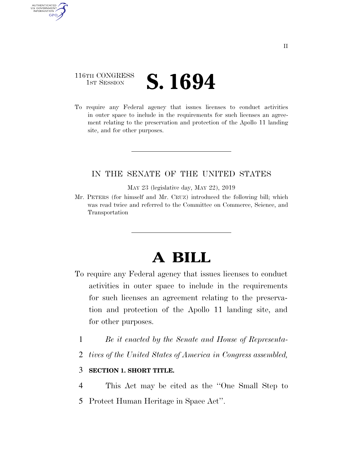## 116TH CONGRESS **IST SESSION S. 1694**

AUTHENTICATED<br>U.S. GOVERNMENT<br>INFORMATION

**GPO** 

To require any Federal agency that issues licenses to conduct activities in outer space to include in the requirements for such licenses an agreement relating to the preservation and protection of the Apollo 11 landing site, and for other purposes.

## IN THE SENATE OF THE UNITED STATES

MAY 23 (legislative day, MAY 22), 2019

Mr. PETERS (for himself and Mr. CRUZ) introduced the following bill; which was read twice and referred to the Committee on Commerce, Science, and Transportation

## **A BILL**

- To require any Federal agency that issues licenses to conduct activities in outer space to include in the requirements for such licenses an agreement relating to the preservation and protection of the Apollo 11 landing site, and for other purposes.
	- 1 *Be it enacted by the Senate and House of Representa-*
	- 2 *tives of the United States of America in Congress assembled,*

## 3 **SECTION 1. SHORT TITLE.**

- 4 This Act may be cited as the ''One Small Step to
- 5 Protect Human Heritage in Space Act''.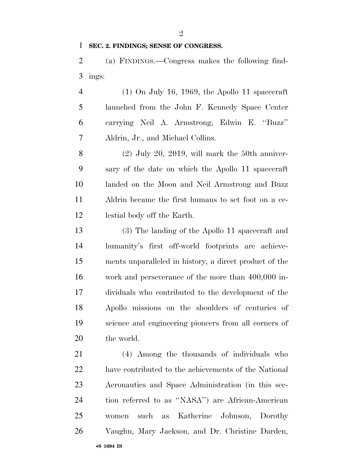**SEC. 2. FINDINGS; SENSE OF CONGRESS.** 

 (a) FINDINGS.—Congress makes the following find-ings:

4 (1) On July 16, 1969, the Apollo 11 spacecraft launched from the John F. Kennedy Space Center carrying Neil A. Armstrong, Edwin E. ''Buzz'' Aldrin, Jr., and Michael Collins.

 (2) July 20, 2019, will mark the 50th anniver- sary of the date on which the Apollo 11 spacecraft landed on the Moon and Neil Armstrong and Buzz Aldrin became the first humans to set foot on a ce-lestial body off the Earth.

 (3) The landing of the Apollo 11 spacecraft and humanity's first off-world footprints are achieve- ments unparalleled in history, a direct product of the work and perseverance of the more than 400,000 in- dividuals who contributed to the development of the Apollo missions on the shoulders of centuries of science and engineering pioneers from all corners of the world.

 (4) Among the thousands of individuals who have contributed to the achievements of the National Aeronautics and Space Administration (in this sec- tion referred to as ''NASA'') are African-American women such as Katherine Johnson, Dorothy Vaughn, Mary Jackson, and Dr. Christine Darden,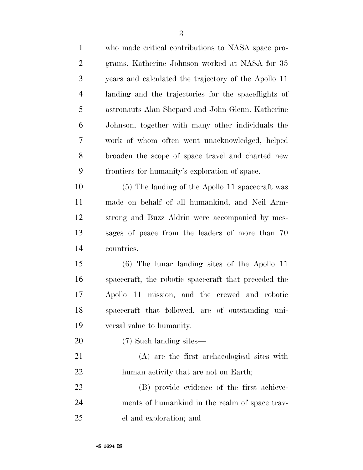| 1              | who made critical contributions to NASA space pro-   |
|----------------|------------------------------------------------------|
| $\overline{2}$ | grams. Katherine Johnson worked at NASA for 35       |
| 3              | years and calculated the trajectory of the Apollo 11 |
| $\overline{4}$ | landing and the trajectories for the spaceflights of |
| 5              | astronauts Alan Shepard and John Glenn. Katherine    |
| 6              | Johnson, together with many other individuals the    |
| 7              | work of whom often went unacknowledged, helped       |
| 8              | broaden the scope of space travel and charted new    |
| 9              | frontiers for humanity's exploration of space.       |
| 10             | (5) The landing of the Apollo 11 spacecraft was      |
| 11             | made on behalf of all humankind, and Neil Arm-       |
| 12             | strong and Buzz Aldrin were accompanied by mes-      |
| 13             | sages of peace from the leaders of more than 70      |
| 14             | countries.                                           |
| 15             | $(6)$ The lunar landing sites of the Apollo 11       |
| 16             | spacecraft, the robotic spacecraft that preceded the |
| 17             | Apollo 11 mission, and the crewed and robotic        |
| 18             | spacecraft that followed, are of outstanding uni-    |
| 19             | versal value to humanity.                            |
| 20             | (7) Such landing sites—                              |
| 21             | (A) are the first archaeological sites with          |
| 22             | human activity that are not on Earth;                |
| 23             | (B) provide evidence of the first achieve-           |
| 24             | ments of humankind in the realm of space trav-       |
| 25             | el and exploration; and                              |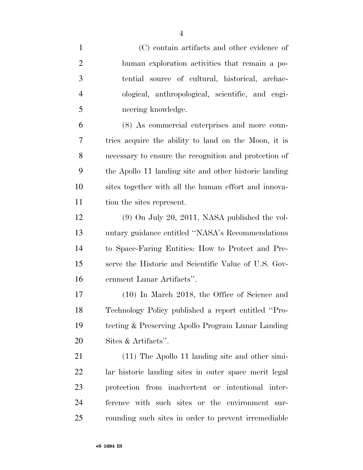| $\mathbf{1}$   | (C) contain artifacts and other evidence of           |
|----------------|-------------------------------------------------------|
| $\overline{2}$ | human exploration activities that remain a po-        |
| 3              | tential source of cultural, historical, archae-       |
| $\overline{4}$ | ological, anthropological, scientific, and engi-      |
| 5              | neering knowledge.                                    |
| 6              | (8) As commercial enterprises and more coun-          |
| 7              | tries acquire the ability to land on the Moon, it is  |
| 8              | necessary to ensure the recognition and protection of |
| 9              | the Apollo 11 landing site and other historic landing |
| 10             | sites together with all the human effort and innova-  |
| 11             | tion the sites represent.                             |
| 12             | $(9)$ On July 20, 2011, NASA published the vol-       |
| 13             | untary guidance entitled "NASA's Recommendations      |
| 14             | to Space-Faring Entities: How to Protect and Pre-     |
| 15             | serve the Historic and Scientific Value of U.S. Gov-  |
| 16             | ernment Lunar Artifacts".                             |
| 17             | $(10)$ In March 2018, the Office of Science and       |
| 18             | Technology Policy published a report entitled "Pro-   |
| 19             | tecting & Preserving Apollo Program Lunar Landing     |
| 20             | Sites & Artifacts".                                   |
| 21             | $(11)$ The Apollo 11 landing site and other simi-     |
| 22             | lar historic landing sites in outer space merit legal |
| 23             | protection from inadvertent or intentional inter-     |
| 24             | ference with such sites or the environment sur-       |
| 25             | rounding such sites in order to prevent irremediable  |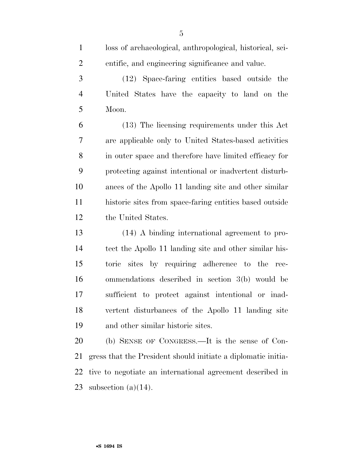| $\mathbf{1}$   | loss of archaeological, anthropological, historical, sci-     |
|----------------|---------------------------------------------------------------|
| $\overline{2}$ | entific, and engineering significance and value.              |
| 3              | (12) Space-faring entities based outside the                  |
| $\overline{4}$ | United States have the capacity to land on the                |
| 5              | Moon.                                                         |
| 6              | (13) The licensing requirements under this Act                |
| 7              | are applicable only to United States-based activities         |
| 8              | in outer space and therefore have limited efficacy for        |
| 9              | protecting against intentional or inadvertent disturb-        |
| 10             | ances of the Apollo 11 landing site and other similar         |
| 11             | historic sites from space-faring entities based outside       |
| 12             | the United States.                                            |
| 13             | (14) A binding international agreement to pro-                |
| 14             | tect the Apollo 11 landing site and other similar his-        |
| 15             | toric sites by requiring adherence to the rec-                |
| 16             | ommendations described in section 3(b) would be               |
| 17             | sufficient to protect against intentional or inad-            |
| 18             | vertent disturbances of the Apollo 11 landing site            |
| 19             | and other similar historic sites.                             |
| 20             | (b) SENSE OF CONGRESS.—It is the sense of Con-                |
| 21             | gress that the President should initiate a diplomatic initia- |

tive to negotiate an international agreement described in

subsection (a)(14).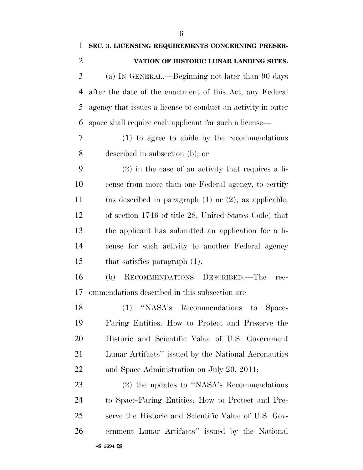| $\mathbf{1}$   | SEC. 3. LICENSING REQUIREMENTS CONCERNING PRESER-            |
|----------------|--------------------------------------------------------------|
| $\overline{2}$ | VATION OF HISTORIC LUNAR LANDING SITES.                      |
| 3              | (a) IN GENERAL.—Beginning not later than 90 days             |
| 4              | after the date of the enactment of this Act, any Federal     |
| 5              | agency that issues a license to conduct an activity in outer |
| 6              | space shall require each applicant for such a license—       |
| 7              | (1) to agree to abide by the recommendations                 |
| 8              | described in subsection (b); or                              |
| 9              | $(2)$ in the case of an activity that requires a li-         |
| 10             | cense from more than one Federal agency, to certify          |
| 11             | (as described in paragraph $(1)$ or $(2)$ , as applicable,   |
| 12             | of section 1746 of title 28, United States Code) that        |
| 13             | the applicant has submitted an application for a li-         |
| 14             | cense for such activity to another Federal agency            |
| 15             | that satisfies paragraph $(1)$ .                             |
| 16             | RECOMMENDATIONS DESCRIBED.—The<br>(b)<br>rec-                |
| 17             | ommendations described in this subsection are—               |
| 18             | (1) "NASA's Recommendations to Space-                        |
| 19             | Faring Entities: How to Protect and Preserve the             |
| 20             | Historic and Scientific Value of U.S. Government             |
| 21             | Lunar Artifacts" issued by the National Aeronautics          |
| 22             | and Space Administration on July 20, 2011;                   |
| 23             | (2) the updates to "NASA's Recommendations                   |
| 24             | to Space-Faring Entities: How to Protect and Pre-            |
| 25             | serve the Historic and Scientific Value of U.S. Gov-         |
| 26             | ernment Lunar Artifacts" issued by the National              |
|                |                                                              |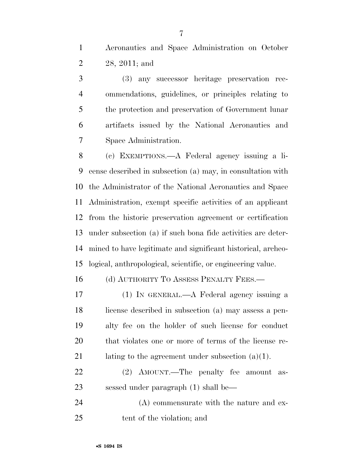Aeronautics and Space Administration on October 28, 2011; and

 (3) any successor heritage preservation rec- ommendations, guidelines, or principles relating to the protection and preservation of Government lunar artifacts issued by the National Aeronautics and Space Administration.

 (c) EXEMPTIONS.—A Federal agency issuing a li- cense described in subsection (a) may, in consultation with the Administrator of the National Aeronautics and Space Administration, exempt specific activities of an applicant from the historic preservation agreement or certification under subsection (a) if such bona fide activities are deter- mined to have legitimate and significant historical, archeo-logical, anthropological, scientific, or engineering value.

16 (d) AUTHORITY TO ASSESS PENALTY FEES.—

 (1) IN GENERAL.—A Federal agency issuing a license described in subsection (a) may assess a pen- alty fee on the holder of such license for conduct that violates one or more of terms of the license re-21 lating to the agreement under subsection  $(a)(1)$ .

 (2) AMOUNT.—The penalty fee amount as-sessed under paragraph (1) shall be—

24 (A) commensurate with the nature and ex-tent of the violation; and